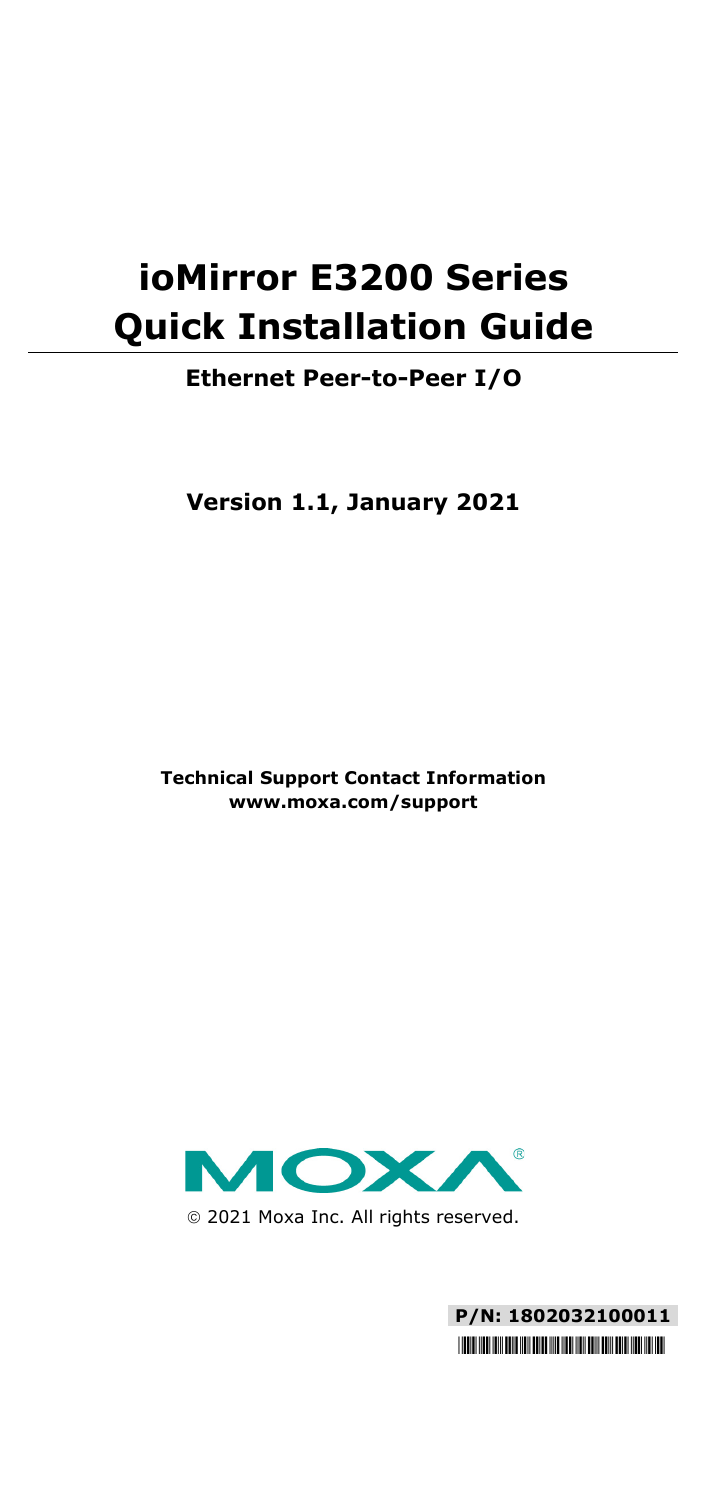# **ioMirror E3200 Series Quick Installation Guide**

#### **Ethernet Peer-to-Peer I/O**

**Version 1.1, January 2021**

**Technical Support Contact Information www.moxa.com/support**



2021 Moxa Inc. All rights reserved.

**P/N: 1802032100011** \*1802032100011\*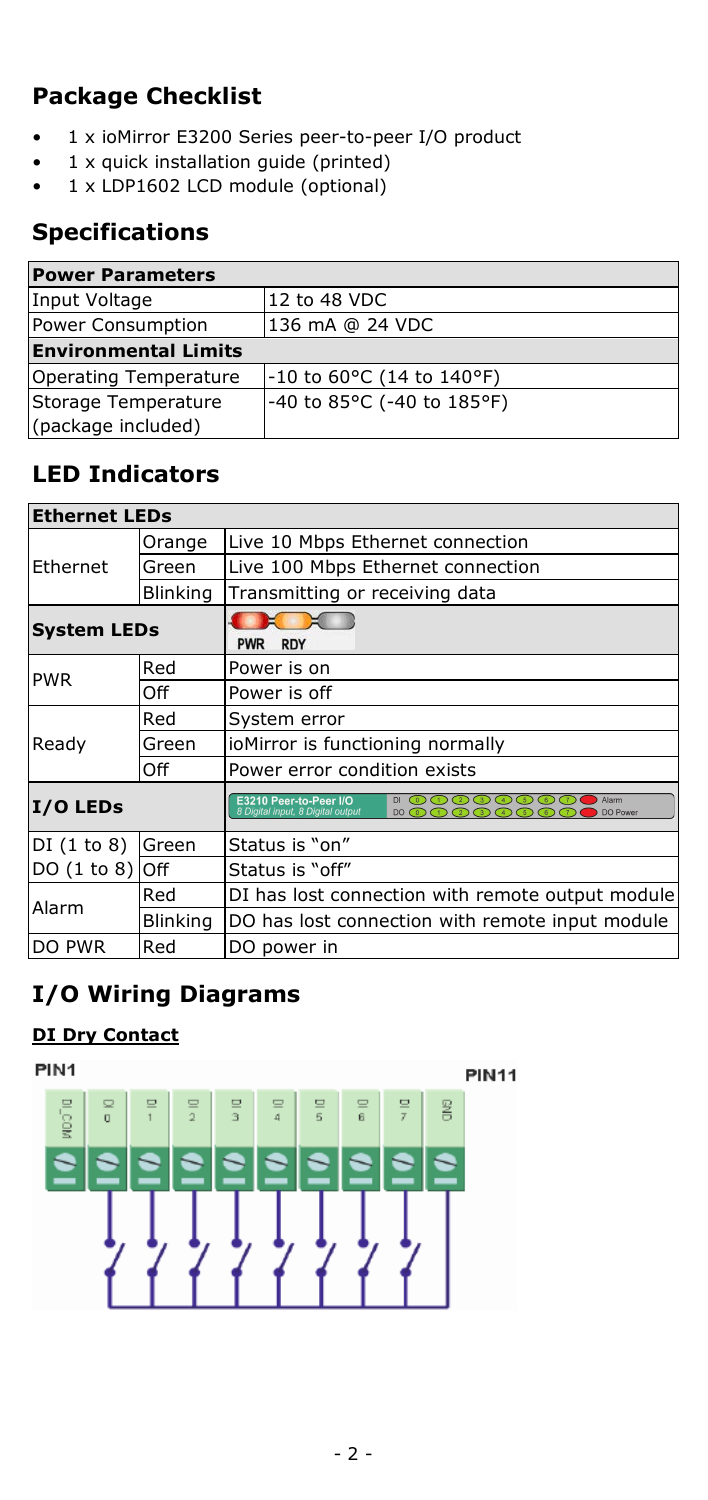# **Package Checklist**

- 1 x ioMirror E3200 Series peer-to-peer I/O product
- 1 x quick installation guide (printed)
- 1 x LDP1602 LCD module (optional)

## **Specifications**

| <b>Power Parameters</b>     |                             |  |
|-----------------------------|-----------------------------|--|
| Input Voltage               | 12 to 48 VDC                |  |
| Power Consumption           | 136 mA @ 24 VDC             |  |
| <b>Environmental Limits</b> |                             |  |
| Operating Temperature       | $-10$ to 60°C (14 to 140°F) |  |
| Storage Temperature         | -40 to 85°C (-40 to 185°F)  |  |
| (package included)          |                             |  |

# **LED Indicators**

| <b>Ethernet LEDs</b> |                 |                                                                                                                 |
|----------------------|-----------------|-----------------------------------------------------------------------------------------------------------------|
| Ethernet             | Orange          | Live 10 Mbps Ethernet connection                                                                                |
|                      | Green           | Live 100 Mbps Ethernet connection                                                                               |
|                      | <b>Blinking</b> | Transmitting or receiving data                                                                                  |
| <b>System LEDs</b>   |                 | <b>RDY</b><br><b>PWR</b>                                                                                        |
| <b>PWR</b>           | Red             | Power is on                                                                                                     |
|                      | Off             | Power is off                                                                                                    |
| Ready                | Red             | System error                                                                                                    |
|                      | Green           | ioMirror is functioning normally                                                                                |
|                      | Off             | Power error condition exists                                                                                    |
| I/O LEDs             |                 | E3210 Peer-to-Peer I/O<br><b>Ⅱ ①①②②②③③</b> ①<br>Alarm<br>8 Digital input, 8 Digital output<br>DO Power<br>DO(0) |
| DI(1 to 8)           | Green           | Status is "on"                                                                                                  |
| $DO(1 to 8)$ Off     |                 | Status is "off"                                                                                                 |
| Alarm                | Red             | DI has lost connection with remote output module                                                                |
|                      | <b>Blinking</b> | DO has lost connection with remote input module                                                                 |
| DO PWR               | Red             | DO power in                                                                                                     |

# **I/O Wiring Diagrams**

#### **DI Dry Contact**

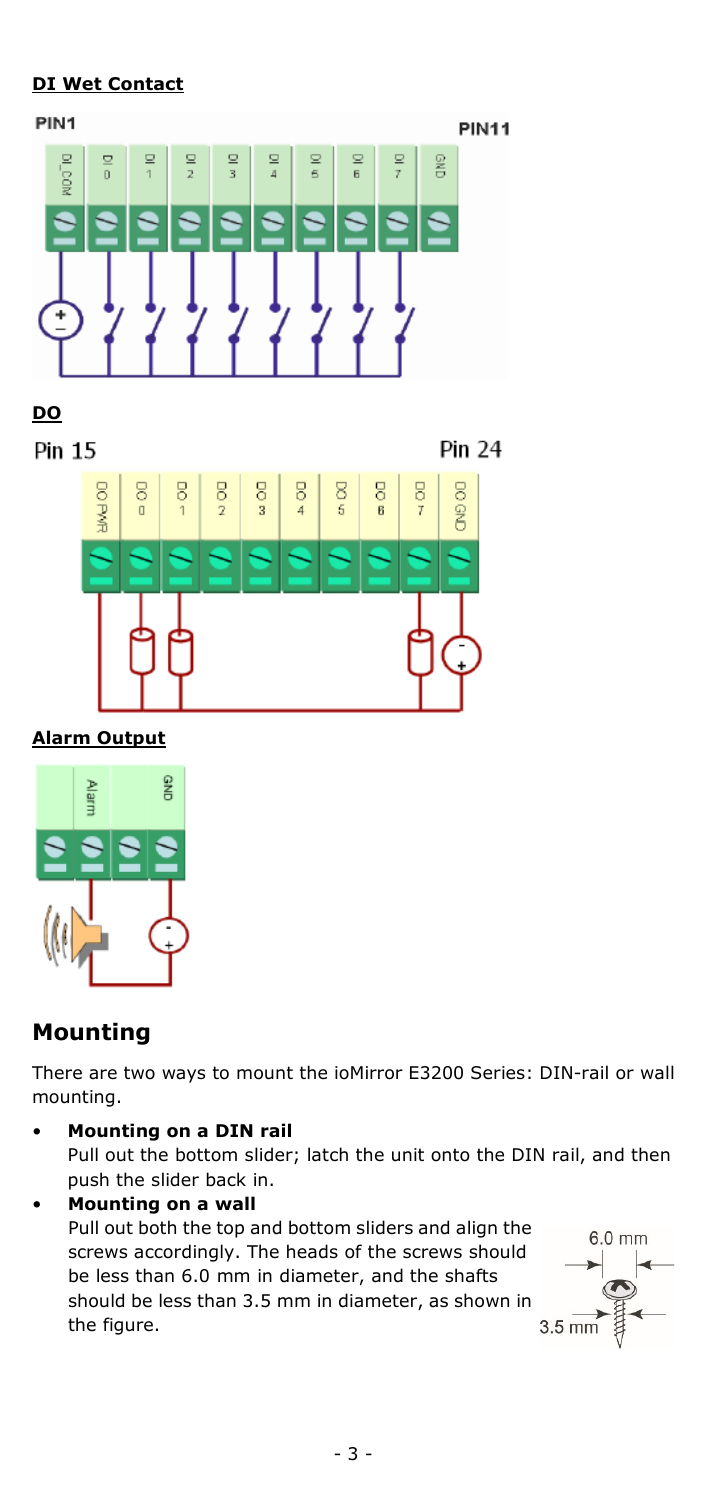#### **DI Wet Contact**





Pin 15

Pin 24



#### **Alarm Output**



## **Mounting**

There are two ways to mount the ioMirror E3200 Series: DIN-rail or wall mounting.

- **Mounting on a DIN rail** Pull out the bottom slider; latch the unit onto the DIN rail, and then push the slider back in.
- **Mounting on a wall** Pull out both the top and bottom sliders and align the screws accordingly. The heads of the screws should be less than 6.0 mm in diameter, and the shafts should be less than 3.5 mm in diameter, as shown in the figure.